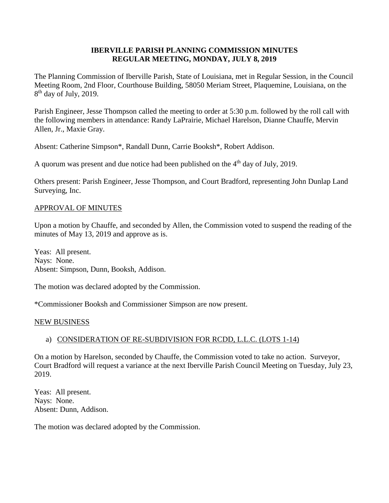## **IBERVILLE PARISH PLANNING COMMISSION MINUTES REGULAR MEETING, MONDAY, JULY 8, 2019**

The Planning Commission of Iberville Parish, State of Louisiana, met in Regular Session, in the Council Meeting Room, 2nd Floor, Courthouse Building, 58050 Meriam Street, Plaquemine, Louisiana, on the 8<sup>th</sup> day of July, 2019.

Parish Engineer, Jesse Thompson called the meeting to order at 5:30 p.m. followed by the roll call with the following members in attendance: Randy LaPrairie, Michael Harelson, Dianne Chauffe, Mervin Allen, Jr., Maxie Gray.

Absent: Catherine Simpson\*, Randall Dunn, Carrie Booksh\*, Robert Addison.

A quorum was present and due notice had been published on the  $4<sup>th</sup>$  day of July, 2019.

Others present: Parish Engineer, Jesse Thompson, and Court Bradford, representing John Dunlap Land Surveying, Inc.

## APPROVAL OF MINUTES

Upon a motion by Chauffe, and seconded by Allen, the Commission voted to suspend the reading of the minutes of May 13, 2019 and approve as is.

Yeas: All present. Nays: None. Absent: Simpson, Dunn, Booksh, Addison.

The motion was declared adopted by the Commission.

\*Commissioner Booksh and Commissioner Simpson are now present.

### NEW BUSINESS

# a) CONSIDERATION OF RE-SUBDIVISION FOR RCDD, L.L.C. (LOTS 1-14)

On a motion by Harelson, seconded by Chauffe, the Commission voted to take no action. Surveyor, Court Bradford will request a variance at the next Iberville Parish Council Meeting on Tuesday, July 23, 2019.

Yeas: All present. Nays: None. Absent: Dunn, Addison.

The motion was declared adopted by the Commission.